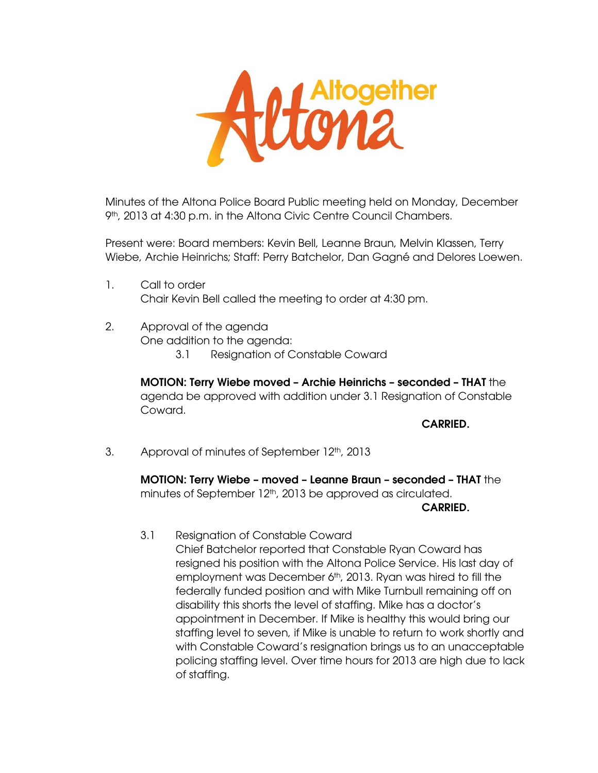

Minutes of the Altona Police Board Public meeting held on Monday, December 9<sup>th</sup>, 2013 at 4:30 p.m. in the Altona Civic Centre Council Chambers.

Present were: Board members: Kevin Bell, Leanne Braun, Melvin Klassen, Terry Wiebe, Archie Heinrichs; Staff: Perry Batchelor, Dan Gagné and Delores Loewen.

- 1. Call to order Chair Kevin Bell called the meeting to order at 4:30 pm.
- 2. Approval of the agenda One addition to the agenda:
	- 3.1 Resignation of Constable Coward

**MOTION: Terry Wiebe moved – Archie Heinrichs – seconded – THAT** the agenda be approved with addition under 3.1 Resignation of Constable Coward.

**CARRIED.** 

3. Approval of minutes of September 12th, 2013

**MOTION: Terry Wiebe – moved – Leanne Braun – seconded – THAT** the minutes of September 12<sup>th</sup>, 2013 be approved as circulated.

**CARRIED.** 

 3.1 Resignation of Constable Coward Chief Batchelor reported that Constable Ryan Coward has resigned his position with the Altona Police Service. His last day of employment was December 6<sup>th</sup>, 2013. Ryan was hired to fill the federally funded position and with Mike Turnbull remaining off on disability this shorts the level of staffing. Mike has a doctor's appointment in December. If Mike is healthy this would bring our staffing level to seven, if Mike is unable to return to work shortly and with Constable Coward's resignation brings us to an unacceptable policing staffing level. Over time hours for 2013 are high due to lack of staffing.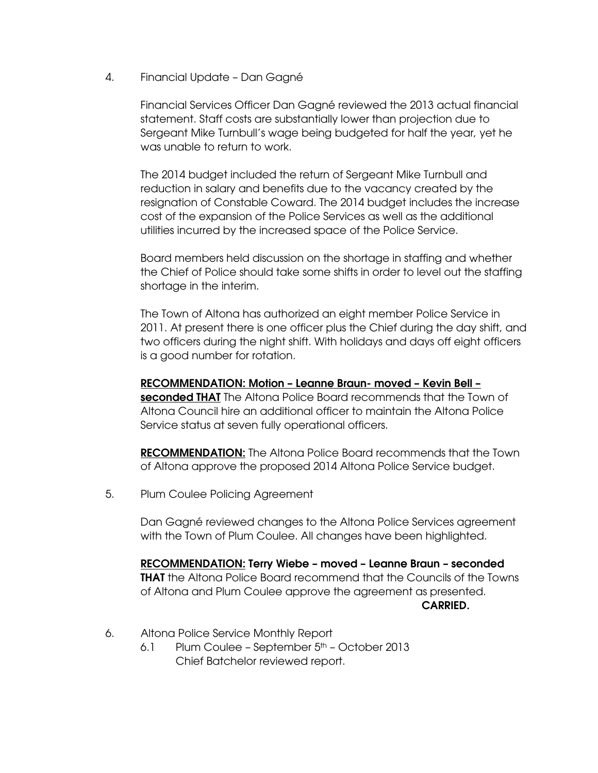4. Financial Update – Dan Gagné

Financial Services Officer Dan Gagné reviewed the 2013 actual financial statement. Staff costs are substantially lower than projection due to Sergeant Mike Turnbull's wage being budgeted for half the year, yet he was unable to return to work.

The 2014 budget included the return of Sergeant Mike Turnbull and reduction in salary and benefits due to the vacancy created by the resignation of Constable Coward. The 2014 budget includes the increase cost of the expansion of the Police Services as well as the additional utilities incurred by the increased space of the Police Service.

Board members held discussion on the shortage in staffing and whether the Chief of Police should take some shifts in order to level out the staffing shortage in the interim.

The Town of Altona has authorized an eight member Police Service in 2011. At present there is one officer plus the Chief during the day shift, and two officers during the night shift. With holidays and days off eight officers is a good number for rotation.

**RECOMMENDATION: Motion – Leanne Braun- moved – Kevin Bell – seconded THAT** The Altona Police Board recommends that the Town of Altona Council hire an additional officer to maintain the Altona Police Service status at seven fully operational officers.

**RECOMMENDATION:** The Altona Police Board recommends that the Town of Altona approve the proposed 2014 Altona Police Service budget.

5. Plum Coulee Policing Agreement

Dan Gagné reviewed changes to the Altona Police Services agreement with the Town of Plum Coulee. All changes have been highlighted.

**RECOMMENDATION: Terry Wiebe – moved – Leanne Braun – seconded THAT** the Altona Police Board recommend that the Councils of the Towns of Altona and Plum Coulee approve the agreement as presented.  **CARRIED.** 

- 6. Altona Police Service Monthly Report
	- 6.1 Plum Coulee September  $5<sup>th</sup>$  October 2013 Chief Batchelor reviewed report.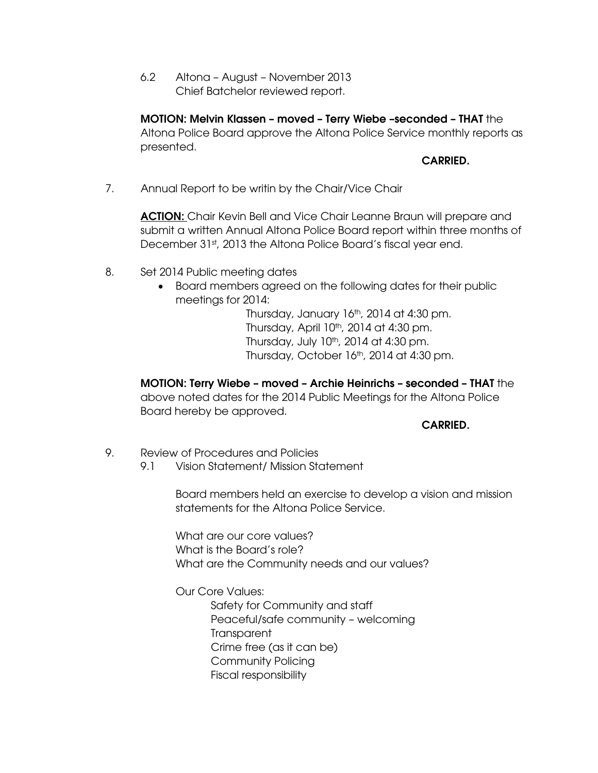6.2 Altona – August – November 2013 Chief Batchelor reviewed report.

**MOTION: Melvin Klassen – moved – Terry Wiebe –seconded – THAT** the Altona Police Board approve the Altona Police Service monthly reports as presented.

## **CARRIED.**

7. Annual Report to be writin by the Chair/Vice Chair

**ACTION:** Chair Kevin Bell and Vice Chair Leanne Braun will prepare and submit a written Annual Altona Police Board report within three months of December 31st, 2013 the Altona Police Board's fiscal year end.

- 8. Set 2014 Public meeting dates
	- Board members agreed on the following dates for their public meetings for 2014:

Thursday, January  $16<sup>th</sup>$ , 2014 at 4:30 pm. Thursday, April 10th, 2014 at 4:30 pm. Thursday, July  $10<sup>th</sup>$ , 2014 at 4:30 pm. Thursday, October 16<sup>th</sup>, 2014 at 4:30 pm.

**MOTION: Terry Wiebe – moved – Archie Heinrichs – seconded – THAT** the above noted dates for the 2014 Public Meetings for the Altona Police Board hereby be approved.

**CARRIED.** 

- 9. Review of Procedures and Policies
	- 9.1 Vision Statement/ Mission Statement

Board members held an exercise to develop a vision and mission statements for the Altona Police Service.

What are our core values? What is the Board's role? What are the Community needs and our values?

Our Core Values:

 Safety for Community and staff Peaceful/safe community – welcoming **Transparent**  Crime free (as it can be) Community Policing Fiscal responsibility